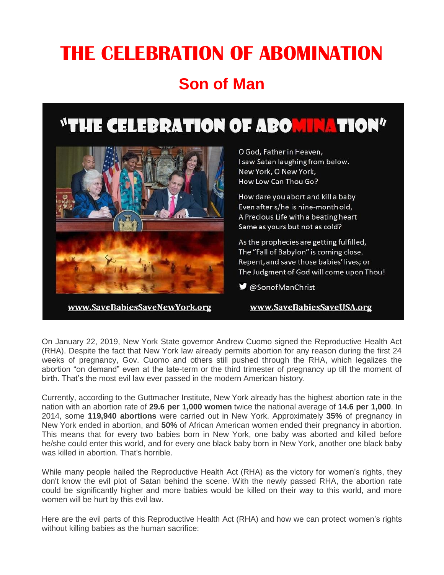# **THE CELEBRATION OF ABOMINATION Son of Man**

## **"THE CELEBRATION OF ABORTHATION"**



www.SaveBabiesSaveNewYork.org

O God, Father in Heaven, I saw Satan laughing from below. New York, O New York, How Low Can Thou Go?

How dare you abort and kill a baby Even after s/he is nine-month old, A Precious Life with a beating heart Same as yours but not as cold?

As the prophecies are getting fulfilled, The "Fall of Babylon" is coming close. Repent, and save those babies' lives; or The Judgment of God will come upon Thou!

■ @SonofManChrist

#### www.SaveBabiesSaveUSA.org

On January 22, 2019, New York State governor Andrew Cuomo signed the Reproductive Health Act (RHA). Despite the fact that New York law already permits abortion for any reason during the first 24 weeks of pregnancy, Gov. Cuomo and others still pushed through the RHA, which legalizes the abortion "on demand" even at the late-term or the third trimester of pregnancy up till the moment of birth. That's the most evil law ever passed in the modern American history.

Currently, according to the Guttmacher Institute, New York already has the highest abortion rate in the nation with an abortion rate of **29.6 per 1,000 women** twice the national average of **14.6 per 1,000**. In 2014, some **119,940 abortions** were carried out in New York. Approximately **35%** of pregnancy in New York ended in abortion, and **50%** of African American women ended their pregnancy in abortion. This means that for every two babies born in New York, one baby was aborted and killed before he/she could enter this world, and for every one black baby born in New York, another one black baby was killed in abortion. That's horrible.

While many people hailed the Reproductive Health Act (RHA) as the victory for women's rights, they don't know the evil plot of Satan behind the scene. With the newly passed RHA, the abortion rate could be significantly higher and more babies would be killed on their way to this world, and more women will be hurt by this evil law.

Here are the evil parts of this Reproductive Health Act (RHA) and how we can protect women's rights without killing babies as the human sacrifice: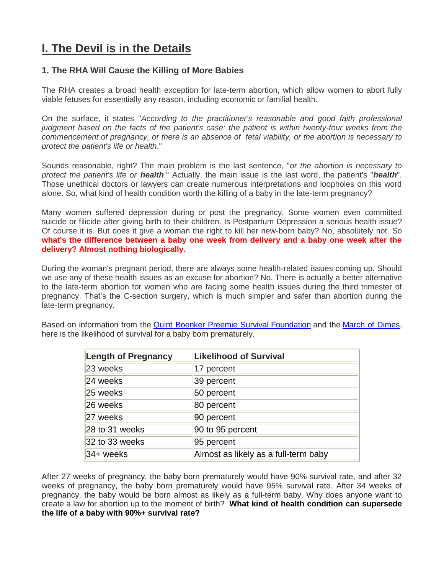## **I. The Devil is in the Details**

#### **1. The RHA Will Cause the Killing of More Babies**

The RHA creates a broad health exception for late-term abortion, which allow women to abort fully viable fetuses for essentially any reason, including economic or familial health.

On the surface, it states "*According to the practitioner's reasonable and good faith professional judgment based on the facts of the patient's case: the patient is within twenty-four weeks from the commencement of pregnancy, or there is an absence of fetal viability, or the abortion is necessary to protect the patient's life or health*."

Sounds reasonable, right? The main problem is the last sentence, "*or the abortion is necessary to protect the patient's life or health*." Actually, the main issue is the last word, the patient's "*health*". Those unethical doctors or lawyers can create numerous interpretations and loopholes on this word alone. So, what kind of health condition worth the killing of a baby in the late-term pregnancy?

Many women suffered depression during or post the pregnancy. Some women even committed suicide or filicide after giving birth to their children. Is Postpartum Depression a serious health issue? Of course it is. But does it give a woman the right to kill her new-born baby? No, absolutely not. So **what's the difference between a baby one week from delivery and a baby one week after the delivery? Almost nothing biologically.**

During the woman's pregnant period, there are always some health-related issues coming up. Should we use any of these health issues as an excuse for abortion? No. There is actually a better alternative to the late-term abortion for women who are facing some health issues during the third trimester of pregnancy. That's the C-section surgery, which is much simpler and safer than abortion during the late-term pregnancy.

Based on information from the [Quint Boenker Preemie Survival](http://www.preemiesurvival.org/info/index.html) Foundation and the [March of Dimes,](https://www.marchofdimes.org/complications/premature-babies.aspx) here is the likelihood of survival for a baby born prematurely.

| <b>Length of Pregnancy</b> | <b>Likelihood of Survival</b>        |
|----------------------------|--------------------------------------|
| 23 weeks                   | 17 percent                           |
| 24 weeks                   | 39 percent                           |
| 25 weeks                   | 50 percent                           |
| 26 weeks                   | 80 percent                           |
| 27 weeks                   | 90 percent                           |
| 28 to 31 weeks             | 90 to 95 percent                     |
| $32$ to 33 weeks           | 95 percent                           |
| 34+ weeks                  | Almost as likely as a full-term baby |

After 27 weeks of pregnancy, the baby born prematurely would have 90% survival rate, and after 32 weeks of pregnancy, the baby born prematurely would have 95% survival rate. After 34 weeks of pregnancy, the baby would be born almost as likely as a full-term baby. Why does anyone want to create a law for abortion up to the moment of birth? **What kind of health condition can supersede the life of a baby with 90%+ survival rate?**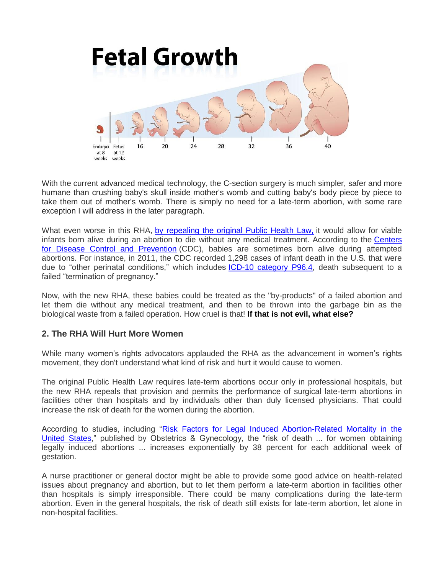

With the current advanced medical technology, the C-section surgery is much simpler, safer and more humane than crushing baby's skull inside mother's womb and cutting baby's body piece by piece to take them out of mother's womb. There is simply no need for a late-term abortion, with some rare exception I will address in the later paragraph.

What even worse in this RHA, [by repealing the original Public Health Law,](https://codes.findlaw.com/ny/public-health-law/pbh-sect-4164.html) it would allow for viable infants born alive during an abortion to die without any medical treatment. According to the [Centers](https://www.cdc.gov/nchs/data/nvsr/nvsr61/nvsr61_06.pdf)  [for Disease Control and Prevention](https://www.cdc.gov/nchs/data/nvsr/nvsr61/nvsr61_06.pdf) (CDC), babies are sometimes born alive during attempted abortions. For instance, in 2011, the CDC recorded 1,298 cases of infant death in the U.S. that were due to "other perinatal conditions," which includes **ICD-10 category P96.4**, death subsequent to a failed "termination of pregnancy."

Now, with the new RHA, these babies could be treated as the "by-products" of a failed abortion and let them die without any medical treatment, and then to be thrown into the garbage bin as the biological waste from a failed operation. How cruel is that! **If that is not evil, what else?**

#### **2. The RHA Will Hurt More Women**

While many women's rights advocators applauded the RHA as the advancement in women's rights movement, they don't understand what kind of risk and hurt it would cause to women.

The original Public Health Law requires late-term abortions occur only in professional hospitals, but the new RHA repeals that provision and permits the performance of surgical late-term abortions in facilities other than hospitals and by individuals other than duly licensed physicians. That could increase the risk of death for the women during the abortion.

According to studies, including ["Risk Factors for Legal Induced Abortion-Related Mortality in the](https://www.ncbi.nlm.nih.gov/pubmed/15051566)  [United States,](https://www.ncbi.nlm.nih.gov/pubmed/15051566)" published by Obstetrics & Gynecology, the "risk of death ... for women obtaining legally induced abortions ... increases exponentially by 38 percent for each additional week of gestation.

A nurse practitioner or general doctor might be able to provide some good advice on health-related issues about pregnancy and abortion, but to let them perform a late-term abortion in facilities other than hospitals is simply irresponsible. There could be many complications during the late-term abortion. Even in the general hospitals, the risk of death still exists for late-term abortion, let alone in non-hospital facilities.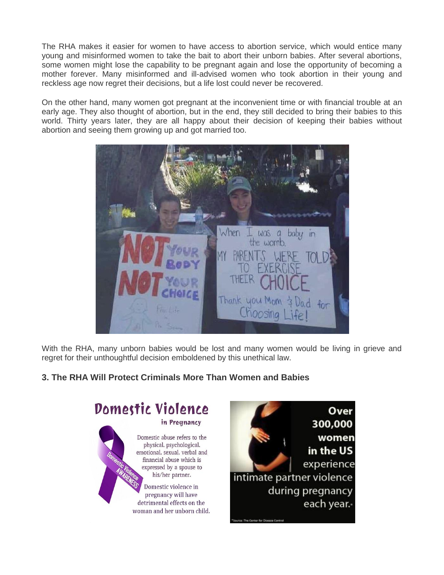The RHA makes it easier for women to have access to abortion service, which would entice many young and misinformed women to take the bait to abort their unborn babies. After several abortions, some women might lose the capability to be pregnant again and lose the opportunity of becoming a mother forever. Many misinformed and ill-advised women who took abortion in their young and reckless age now regret their decisions, but a life lost could never be recovered.

On the other hand, many women got pregnant at the inconvenient time or with financial trouble at an early age. They also thought of abortion, but in the end, they still decided to bring their babies to this world. Thirty years later, they are all happy about their decision of keeping their babies without abortion and seeing them growing up and got married too.



With the RHA, many unborn babies would be lost and many women would be living in grieve and regret for their unthoughtful decision emboldened by this unethical law.

### **3. The RHA Will Protect Criminals More Than Women and Babies**



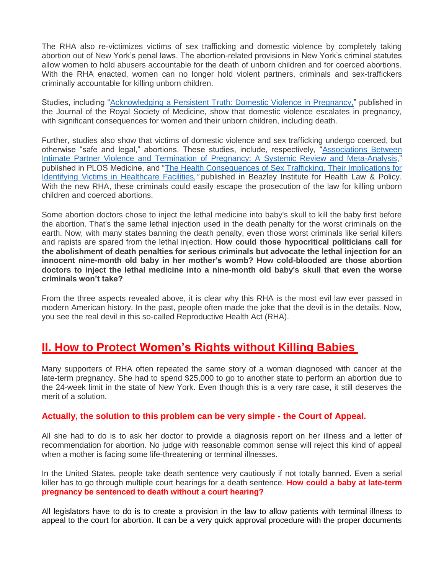The RHA also re-victimizes victims of sex trafficking and domestic violence by completely taking abortion out of New York's penal laws. The abortion-related provisions in New York's criminal statutes allow women to hold abusers accountable for the death of unborn children and for coerced abortions. With the RHA enacted, women can no longer hold violent partners, criminals and sex-traffickers criminally accountable for killing unborn children.

Studies, including ["Acknowledging a Persistent Truth: Domestic Violence in Pregnancy,"](https://journals.sagepub.com/doi/pdf/10.1258/jrsm.2008.080002) published in the Journal of the Royal Society of Medicine, show that domestic violence escalates in pregnancy, with significant consequences for women and their unborn children, including death.

Further, studies also show that victims of domestic violence and sex trafficking undergo coerced, but otherwise "safe and legal," abortions. These studies, include, respectively, "Associations Between [Intimate Partner Violence and Termination of Pregnancy: A Systemic Review and Meta-Analysis,](https://journals.plos.org/plosmedicine/article?id=10.1371/journal.pmed.1001581)" published in PLOS Medicine, and ["The Health Consequences of Sex Trafficking, Their Implications for](http://www.annalsofhealthlaw.com/annalsofhealthlaw/vol_23_issue_1?pg=69/lpg69)  [Identifying Victims in Healthcare Facilities](http://www.annalsofhealthlaw.com/annalsofhealthlaw/vol_23_issue_1?pg=69/lpg69)*,"* published in Beazley Institute for Health Law & Policy. With the new RHA, these criminals could easily escape the prosecution of the law for killing unborn children and coerced abortions.

Some abortion doctors chose to inject the lethal medicine into baby's skull to kill the baby first before the abortion. That's the same lethal injection used in the death penalty for the worst criminals on the earth. Now, with many states banning the death penalty, even those worst criminals like serial killers and rapists are spared from the lethal injection. **How could those hypocritical politicians call for the abolishment of death penalties for serious criminals but advocate the lethal injection for an innocent nine-month old baby in her mother's womb? How cold-blooded are those abortion doctors to inject the lethal medicine into a nine-month old baby's skull that even the worse criminals won't take?**

From the three aspects revealed above, it is clear why this RHA is the most evil law ever passed in modern American history. In the past, people often made the joke that the devil is in the details. Now, you see the real devil in this so-called Reproductive Health Act (RHA).

### **II. How to Protect Women's Rights without Killing Babies**

Many supporters of RHA often repeated the same story of a woman diagnosed with cancer at the late-term pregnancy. She had to spend \$25,000 to go to another state to perform an abortion due to the 24-week limit in the state of New York. Even though this is a very rare case, it still deserves the merit of a solution.

#### **Actually, the solution to this problem can be very simple - the Court of Appeal.**

All she had to do is to ask her doctor to provide a diagnosis report on her illness and a letter of recommendation for abortion. No judge with reasonable common sense will reject this kind of appeal when a mother is facing some life-threatening or terminal illnesses.

In the United States, people take death sentence very cautiously if not totally banned. Even a serial killer has to go through multiple court hearings for a death sentence. **How could a baby at late-term pregnancy be sentenced to death without a court hearing?**

All legislators have to do is to create a provision in the law to allow patients with terminal illness to appeal to the court for abortion. It can be a very quick approval procedure with the proper documents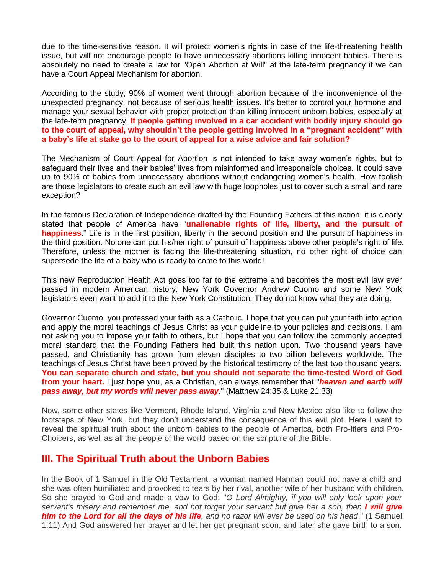due to the time-sensitive reason. It will protect women's rights in case of the life-threatening health issue, but will not encourage people to have unnecessary abortions killing innocent babies. There is absolutely no need to create a law for "Open Abortion at Will" at the late-term pregnancy if we can have a Court Appeal Mechanism for abortion.

According to the study, 90% of women went through abortion because of the inconvenience of the unexpected pregnancy, not because of serious health issues. It's better to control your hormone and manage your sexual behavior with proper protection than killing innocent unborn babies, especially at the late-term pregnancy. **If people getting involved in a car accident with bodily injury should go to the court of appeal, why shouldn't the people getting involved in a "pregnant accident" with a baby's life at stake go to the court of appeal for a wise advice and fair solution?**

The Mechanism of Court Appeal for Abortion is not intended to take away women's rights, but to safeguard their lives and their babies' lives from misinformed and irresponsible choices. It could save up to 90% of babies from unnecessary abortions without endangering women's health. How foolish are those legislators to create such an evil law with huge loopholes just to cover such a small and rare exception?

In the famous Declaration of Independence drafted by the Founding Fathers of this nation, it is clearly stated that people of America have "**unalienable rights of life, liberty, and the pursuit of happiness**." Life is in the first position, liberty in the second position and the pursuit of happiness in the third position. No one can put his/her right of pursuit of happiness above other people's right of life. Therefore, unless the mother is facing the life-threatening situation, no other right of choice can supersede the life of a baby who is ready to come to this world!

This new Reproduction Health Act goes too far to the extreme and becomes the most evil law ever passed in modern American history. New York Governor Andrew Cuomo and some New York legislators even want to add it to the New York Constitution. They do not know what they are doing.

Governor Cuomo, you professed your faith as a Catholic. I hope that you can put your faith into action and apply the moral teachings of Jesus Christ as your guideline to your policies and decisions. I am not asking you to impose your faith to others, but I hope that you can follow the commonly accepted moral standard that the Founding Fathers had built this nation upon. Two thousand years have passed, and Christianity has grown from eleven disciples to two billion believers worldwide. The teachings of Jesus Christ have been proved by the historical testimony of the last two thousand years. **You can separate church and state, but you should not separate the time-tested Word of God from your heart.** I just hope you, as a Christian, can always remember that "*heaven and earth will pass away, but my words will never pass away*." (Matthew 24:35 & Luke 21:33)

Now, some other states like Vermont, Rhode Island, Virginia and New Mexico also like to follow the footsteps of New York, but they don't understand the consequence of this evil plot. Here I want to reveal the spiritual truth about the unborn babies to the people of America, both Pro-lifers and Pro-Choicers, as well as all the people of the world based on the scripture of the Bible.

### **III. The Spiritual Truth about the Unborn Babies**

In the Book of 1 Samuel in the Old Testament, a woman named Hannah could not have a child and she was often humiliated and provoked to tears by her rival, another wife of her husband with children. So she prayed to God and made a vow to God: "*O Lord Almighty, if you will only look upon your*  servant's misery and remember me, and not forget your servant but give her a son, then *I will give him to the Lord for all the days of his life, and no razor will ever be used on his head*." (1 Samuel 1:11) And God answered her prayer and let her get pregnant soon, and later she gave birth to a son.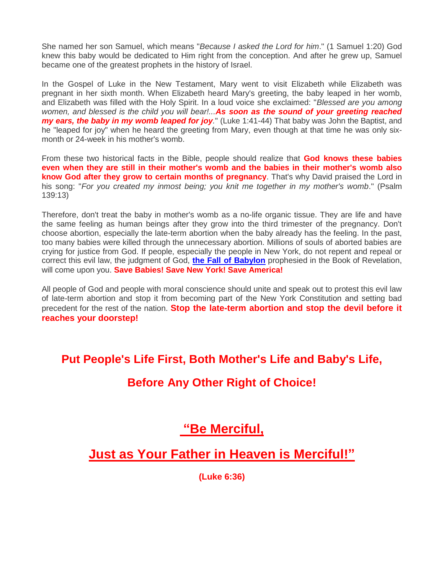She named her son Samuel, which means "*Because I asked the Lord for him*." (1 Samuel 1:20) God knew this baby would be dedicated to Him right from the conception. And after he grew up, Samuel became one of the greatest prophets in the history of Israel.

In the Gospel of Luke in the New Testament, Mary went to visit Elizabeth while Elizabeth was pregnant in her sixth month. When Elizabeth heard Mary's greeting, the baby leaped in her womb, and Elizabeth was filled with the Holy Spirit. In a loud voice she exclaimed: "*Blessed are you among women, and blessed is the child you will bear!...As soon as the sound of your greeting reached my ears, the baby in my womb leaped for joy.*" (Luke 1:41-44) That baby was John the Baptist, and he "leaped for joy" when he heard the greeting from Mary, even though at that time he was only sixmonth or 24-week in his mother's womb.

From these two historical facts in the Bible, people should realize that **God knows these babies even when they are still in their mother's womb and the babies in their mother's womb also know God after they grow to certain months of pregnancy**. That's why David praised the Lord in his song: "*For you created my inmost being; you knit me together in my mother's womb*." (Psalm 139:13)

Therefore, don't treat the baby in mother's womb as a no-life organic tissue. They are life and have the same feeling as human beings after they grow into the third trimester of the pregnancy. Don't choose abortion, especially the late-term abortion when the baby already has the feeling. In the past, too many babies were killed through the unnecessary abortion. Millions of souls of aborted babies are crying for justice from God. If people, especially the people in New York, do not repent and repeal or correct this evil law, the judgment of God, **[the Fall of Babylon](http://savebabiessavenewyork.org/prophecy.htm)** prophesied in the Book of Revelation, will come upon you. **Save Babies! Save New York! Save America!**

All people of God and people with moral conscience should unite and speak out to protest this evil law of late-term abortion and stop it from becoming part of the New York Constitution and setting bad precedent for the rest of the nation. **Stop the late-term abortion and stop the devil before it reaches your doorstep!** 

**Put People's Life First, Both Mother's Life and Baby's Life,** 

## **Before Any Other Right of Choice!**

## **"Be Merciful,**

**Just as Your Father in Heaven is Merciful!"**

**(Luke 6:36)**